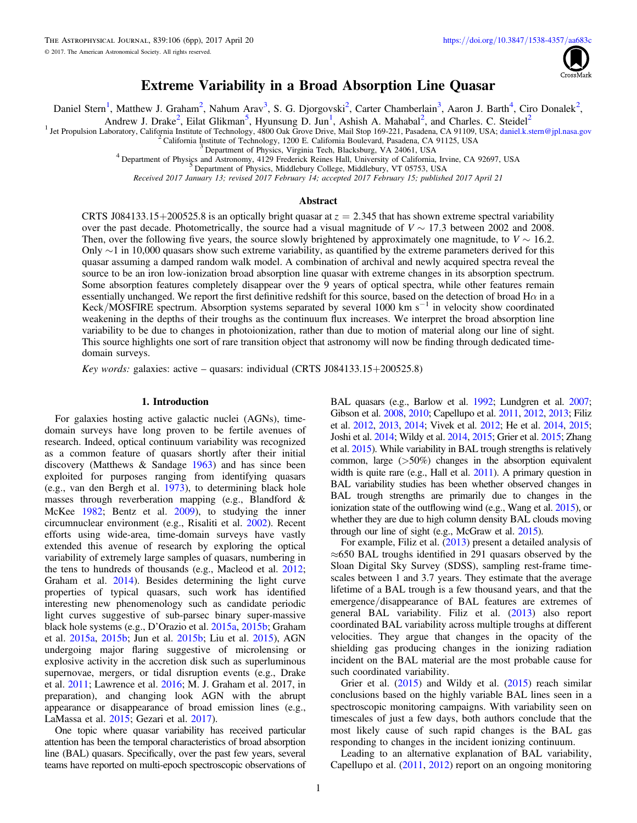

# Extreme Variability in a Broad Absorption Line Quasar

Daniel Stern<sup>1</sup>, Matthew J. Graham<sup>2</sup>, Nahum Arav<sup>3</sup>, S. G. Djorgovski<sup>2</sup>, Carter Chamberlain<sup>3</sup>, Aaron J. Barth<sup>4</sup>, Ciro Donalek<sup>2</sup>,

Andrew J. Drake<sup>2</sup>, Eilat Glikman<sup>5</sup>, Hyunsung D. Jun<sup>1</sup>, Ashish A. Mahabal<sup>2</sup>, and Charles. C. Steidel<sup>2</sup>

<sup>1</sup> Jet Propulsion Laboratory, California Institute of Technology, 4800 Oak Grove Drive, Mail Stop 169-221, Pasadena, CA 91109, USA; [daniel.k.stern@jpl.nasa.gov](mailto:daniel.k.stern@jpl.nasa.gov)<br>
<sup>2</sup> California Institute of Technology, 1200 E. California

Received 2017 January 13; revised 2017 February 14; accepted 2017 February 15; published 2017 April 21

## Abstract

CRTS J084133.15+200525.8 is an optically bright quasar at  $z = 2.345$  that has shown extreme spectral variability over the past decade. Photometrically, the source had a visual magnitude of  $V \sim 17.3$  between 2002 and 2008. Then, over the following five years, the source slowly brightened by approximately one magnitude, to  $V \sim 16.2$ . Only ∼1 in 10,000 quasars show such extreme variability, as quantified by the extreme parameters derived for this quasar assuming a damped random walk model. A combination of archival and newly acquired spectra reveal the source to be an iron low-ionization broad absorption line quasar with extreme changes in its absorption spectrum. Some absorption features completely disappear over the 9 years of optical spectra, while other features remain essentially unchanged. We report the first definitive redshift for this source, based on the detection of broad H $\alpha$  in a Keck/MOSFIRE spectrum. Absorption systems separated by several 1000 km s<sup> $-1$ </sup> in velocity show coordinated weakening in the depths of their troughs as the continuum flux increases. We interpret the broad absorption line variability to be due to changes in photoionization, rather than due to motion of material along our line of sight. This source highlights one sort of rare transition object that astronomy will now be finding through dedicated timedomain surveys.

Key words: galaxies: active – quasars: individual (CRTS J084133.15+200525.8)

## 1. Introduction

For galaxies hosting active galactic nuclei (AGNs), timedomain surveys have long proven to be fertile avenues of research. Indeed, optical continuum variability was recognized as a common feature of quasars shortly after their initial discovery (Matthews & Sandage [1963](#page-5-0)) and has since been exploited for purposes ranging from identifying quasars (e.g., van den Bergh et al. [1973](#page-5-0)), to determining black hole masses through reverberation mapping (e.g., Blandford & McKee [1982;](#page-5-0) Bentz et al. [2009](#page-5-0)), to studying the inner circumnuclear environment (e.g., Risaliti et al. [2002](#page-5-0)). Recent efforts using wide-area, time-domain surveys have vastly extended this avenue of research by exploring the optical variability of extremely large samples of quasars, numbering in the tens to hundreds of thousands (e.g., Macleod et al. [2012](#page-5-0); Graham et al. [2014](#page-5-0)). Besides determining the light curve properties of typical quasars, such work has identified interesting new phenomenology such as candidate periodic light curves suggestive of sub-parsec binary super-massive black hole systems (e.g., D'Orazio et al. [2015a](#page-5-0), [2015b](#page-5-0); Graham et al. [2015a](#page-5-0), [2015b](#page-5-0); Jun et al. [2015b](#page-5-0); Liu et al. [2015](#page-5-0)), AGN undergoing major flaring suggestive of microlensing or explosive activity in the accretion disk such as superluminous supernovae, mergers, or tidal disruption events (e.g., Drake et al. [2011](#page-5-0); Lawrence et al. [2016;](#page-5-0) M. J. Graham et al. 2017, in preparation), and changing look AGN with the abrupt appearance or disappearance of broad emission lines (e.g., LaMassa et al. [2015](#page-5-0); Gezari et al. [2017](#page-5-0)).

One topic where quasar variability has received particular attention has been the temporal characteristics of broad absorption line (BAL) quasars. Specifically, over the past few years, several teams have reported on multi-epoch spectroscopic observations of BAL quasars (e.g., Barlow et al. [1992;](#page-5-0) Lundgren et al. [2007](#page-5-0); Gibson et al. [2008,](#page-5-0) [2010;](#page-5-0) Capellupo et al. [2011,](#page-5-0) [2012,](#page-5-0) [2013;](#page-5-0) Filiz et al. [2012,](#page-5-0) [2013](#page-5-0), [2014;](#page-5-0) Vivek et al. [2012;](#page-5-0) He et al. [2014,](#page-5-0) [2015](#page-5-0); Joshi et al. [2014](#page-5-0); Wildy et al. [2014](#page-5-0), [2015](#page-5-0); Grier et al. [2015;](#page-5-0) Zhang et al. [2015](#page-5-0)). While variability in BAL trough strengths is relatively common, large  $(50\%)$  changes in the absorption equivalent width is quite rare (e.g., Hall et al. [2011](#page-5-0)). A primary question in BAL variability studies has been whether observed changes in BAL trough strengths are primarily due to changes in the ionization state of the outflowing wind (e.g., Wang et al. [2015](#page-5-0)), or whether they are due to high column density BAL clouds moving through our line of sight (e.g., McGraw et al. [2015](#page-5-0)).

For example, Filiz et al. ([2013](#page-5-0)) present a detailed analysis of ≈650 BAL troughs identified in 291 quasars observed by the Sloan Digital Sky Survey (SDSS), sampling rest-frame timescales between 1 and 3.7 years. They estimate that the average lifetime of a BAL trough is a few thousand years, and that the emergence/disappearance of BAL features are extremes of general BAL variability. Filiz et al. ([2013](#page-5-0)) also report coordinated BAL variability across multiple troughs at different velocities. They argue that changes in the opacity of the shielding gas producing changes in the ionizing radiation incident on the BAL material are the most probable cause for such coordinated variability.

Grier et al.  $(2015)$  $(2015)$  $(2015)$  and Wildy et al.  $(2015)$  reach similar conclusions based on the highly variable BAL lines seen in a spectroscopic monitoring campaigns. With variability seen on timescales of just a few days, both authors conclude that the most likely cause of such rapid changes is the BAL gas responding to changes in the incident ionizing continuum.

Leading to an alternative explanation of BAL variability, Capellupo et al. ([2011,](#page-5-0) [2012](#page-5-0)) report on an ongoing monitoring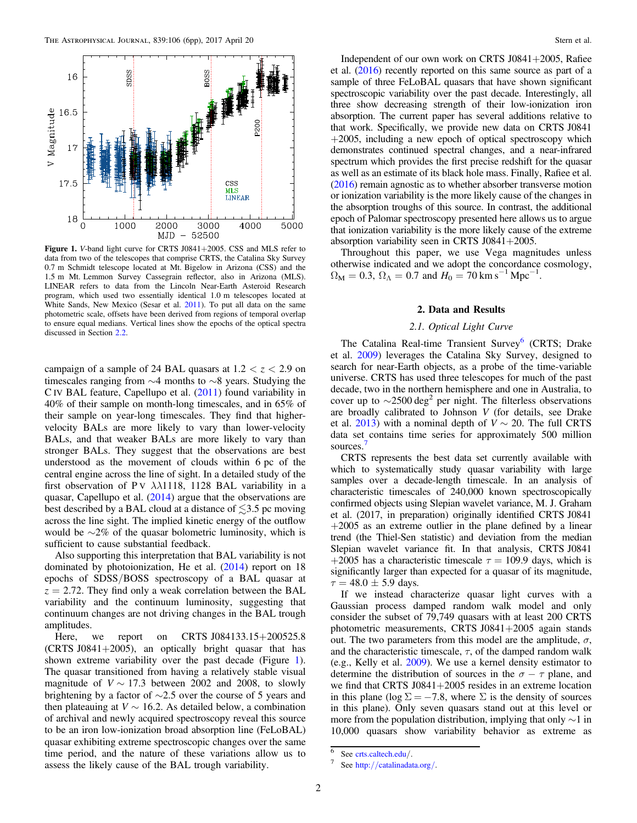<span id="page-1-0"></span>

Figure 1. V-band light curve for CRTS J0841+2005. CSS and MLS refer to data from two of the telescopes that comprise CRTS, the Catalina Sky Survey 0.7 m Schmidt telescope located at Mt. Bigelow in Arizona (CSS) and the 1.5 m Mt. Lemmon Survey Cassegrain reflector, also in Arizona (MLS). LINEAR refers to data from the Lincoln Near-Earth Asteroid Research program, which used two essentially identical 1.0 m telescopes located at White Sands, New Mexico (Sesar et al. [2011](#page-5-0)). To put all data on the same photometric scale, offsets have been derived from regions of temporal overlap to ensure equal medians. Vertical lines show the epochs of the optical spectra discussed in Section [2.2.](#page-2-0)

campaign of a sample of 24 BAL quasars at  $1.2 < z < 2.9$  on timescales ranging from ∼4 months to ∼8 years. Studying the C IV BAL feature, Capellupo et al. ([2011](#page-5-0)) found variability in 40% of their sample on month-long timescales, and in 65% of their sample on year-long timescales. They find that highervelocity BALs are more likely to vary than lower-velocity BALs, and that weaker BALs are more likely to vary than stronger BALs. They suggest that the observations are best understood as the movement of clouds within 6 pc of the central engine across the line of sight. In a detailed study of the first observation of P V  $\lambda\lambda$ 1118, 1128 BAL variability in a quasar, Capellupo et al. ([2014](#page-5-0)) argue that the observations are best described by a BAL cloud at a distance of  $\leq 3.5$  pc moving across the line sight. The implied kinetic energy of the outflow would be  $\sim$ 2% of the quasar bolometric luminosity, which is sufficient to cause substantial feedback.

Also supporting this interpretation that BAL variability is not dominated by photoionization, He et al. ([2014](#page-5-0)) report on 18 epochs of SDSS/BOSS spectroscopy of a BAL quasar at  $z = 2.72$ . They find only a weak correlation between the BAL variability and the continuum luminosity, suggesting that continuum changes are not driving changes in the BAL trough amplitudes.

Here, we report on CRTS J084133.15+200525.8 (CRTS J0841+2005), an optically bright quasar that has shown extreme variability over the past decade (Figure 1). The quasar transitioned from having a relatively stable visual magnitude of  $V \sim 17.3$  between 2002 and 2008, to slowly brightening by a factor of ∼2.5 over the course of 5 years and then plateauing at  $V \sim 16.2$ . As detailed below, a combination of archival and newly acquired spectroscopy reveal this source to be an iron low-ionization broad absorption line (FeLoBAL) quasar exhibiting extreme spectroscopic changes over the same time period, and the nature of these variations allow us to assess the likely cause of the BAL trough variability.

Independent of our own work on CRTS J0841+2005, Rafiee et al. ([2016](#page-5-0)) recently reported on this same source as part of a sample of three FeLoBAL quasars that have shown significant spectroscopic variability over the past decade. Interestingly, all three show decreasing strength of their low-ionization iron absorption. The current paper has several additions relative to that work. Specifically, we provide new data on CRTS J0841  $+2005$ , including a new epoch of optical spectroscopy which demonstrates continued spectral changes, and a near-infrared spectrum which provides the first precise redshift for the quasar as well as an estimate of its black hole mass. Finally, Rafiee et al. ([2016](#page-5-0)) remain agnostic as to whether absorber transverse motion or ionization variability is the more likely cause of the changes in the absorption troughs of this source. In contrast, the additional epoch of Palomar spectroscopy presented here allows us to argue that ionization variability is the more likely cause of the extreme absorption variability seen in CRTS J0841+2005.

Throughout this paper, we use Vega magnitudes unless otherwise indicated and we adopt the concordance cosmology,  $\Omega_{\rm M} = 0.3$ ,  $\Omega_{\Lambda} = 0.7$  and  $H_0 = 70$  km s<sup>-1</sup> Mpc<sup>-1</sup>.

## 2. Data and Results

# 2.1. Optical Light Curve

The Catalina Real-time Transient Survey<sup>6</sup> (CRTS; Drake et al. [2009](#page-5-0)) leverages the Catalina Sky Survey, designed to search for near-Earth objects, as a probe of the time-variable universe. CRTS has used three telescopes for much of the past decade, two in the northern hemisphere and one in Australia, to cover up to  $\sim$ 2500 deg<sup>2</sup> per night. The filterless observations are broadly calibrated to Johnson V (for details, see Drake et al. [2013](#page-5-0)) with a nominal depth of  $V \sim 20$ . The full CRTS data set contains time series for approximately 500 million sources.

CRTS represents the best data set currently available with which to systematically study quasar variability with large samples over a decade-length timescale. In an analysis of characteristic timescales of 240,000 known spectroscopically confirmed objects using Slepian wavelet variance, M. J. Graham et al. (2017, in preparation) originally identified CRTS J0841  $+2005$  as an extreme outlier in the plane defined by a linear trend (the Thiel-Sen statistic) and deviation from the median Slepian wavelet variance fit. In that analysis, CRTS J0841 +2005 has a characteristic timescale  $\tau = 109.9$  days, which is significantly larger than expected for a quasar of its magnitude,  $\tau = 48.0 \pm 5.9$  days.

If we instead characterize quasar light curves with a Gaussian process damped random walk model and only consider the subset of 79,749 quasars with at least 200 CRTS photometric measurements, CRTS J0841+2005 again stands out. The two parameters from this model are the amplitude,  $\sigma$ , and the characteristic timescale,  $\tau$ , of the damped random walk (e.g., Kelly et al. [2009](#page-5-0)). We use a kernel density estimator to determine the distribution of sources in the  $\sigma - \tau$  plane, and we find that CRTS J0841+2005 resides in an extreme location in this plane (log  $\Sigma = -7.8$ , where  $\Sigma$  is the density of sources in this plane). Only seven quasars stand out at this level or more from the population distribution, implying that only ∼1 in 10,000 quasars show variability behavior as extreme as

 $\frac{6}{7}$  See [crts.caltech.edu](http://crts.caltech.edu)/.<br>7 See http://[catalinadata.org](http://catalinadata.org/)/.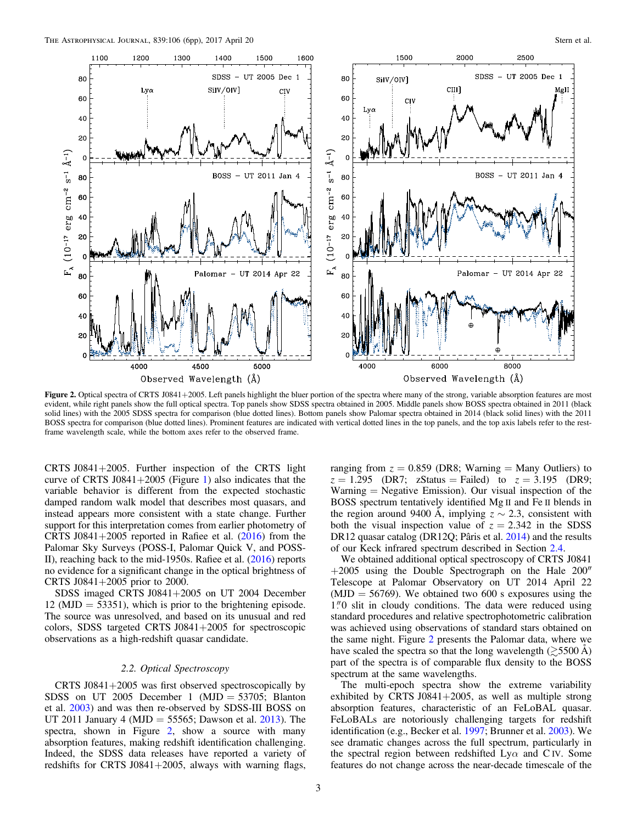<span id="page-2-0"></span>

Figure 2. Optical spectra of CRTS J0841+2005. Left panels highlight the bluer portion of the spectra where many of the strong, variable absorption features are most evident, while right panels show the full optical spectra. Top panels show SDSS spectra obtained in 2005. Middle panels show BOSS spectra obtained in 2011 (black solid lines) with the 2005 SDSS spectra for comparison (blue dotted lines). Bottom panels show Palomar spectra obtained in 2014 (black solid lines) with the 2011 BOSS spectra for comparison (blue dotted lines). Prominent features are indicated with vertical dotted lines in the top panels, and the top axis labels refer to the restframe wavelength scale, while the bottom axes refer to the observed frame.

CRTS J0841+2005. Further inspection of the CRTS light curve of CRTS J084[1](#page-1-0)+2005 (Figure 1) also indicates that the variable behavior is different from the expected stochastic damped random walk model that describes most quasars, and instead appears more consistent with a state change. Further support for this interpretation comes from earlier photometry of CRTS J0841+2005 reported in Rafiee et al.  $(2016)$  $(2016)$  $(2016)$  from the Palomar Sky Surveys (POSS-I, Palomar Quick V, and POSS-II), reaching back to the mid-1950s. Rafiee et al. ([2016](#page-5-0)) reports no evidence for a significant change in the optical brightness of CRTS J0841+2005 prior to 2000.

SDSS imaged CRTS J0841+2005 on UT 2004 December  $12 \text{ (MJD)} = 53351$ , which is prior to the brightening episode. The source was unresolved, and based on its unusual and red colors, SDSS targeted CRTS J0841+2005 for spectroscopic observations as a high-redshift quasar candidate.

# 2.2. Optical Spectroscopy

CRTS  $J0841+2005$  was first observed spectroscopically by SDSS on UT 2005 December 1 (MJD =  $53705$ ; Blanton et al. [2003](#page-5-0)) and was then re-observed by SDSS-III BOSS on UT 2011 January 4 (MJD = 55565; Dawson et al. [2013](#page-5-0)). The spectra, shown in Figure 2, show a source with many absorption features, making redshift identification challenging. Indeed, the SDSS data releases have reported a variety of redshifts for CRTS J0841+2005, always with warning flags,

ranging from  $z = 0.859$  (DR8; Warning = Many Outliers) to  $z = 1.295$  (DR7; zStatus = Failed) to  $z = 3.195$  (DR9;  $Warning = Negative Emission)$ . Our visual inspection of the BOSS spectrum tentatively identified Mg II and Fe II blends in the region around 9400 Å, implying  $z \sim 2.3$ , consistent with both the visual inspection value of  $z = 2.342$  in the SDSS DR12 quasar catalog (DR12Q; Pâris et al. [2014](#page-5-0)) and the results of our Keck infrared spectrum described in Section [2.4](#page-3-0).

We obtained additional optical spectroscopy of CRTS J0841 +2005 using the Double Spectrograph on the Hale 200″ Telescope at Palomar Observatory on UT 2014 April 22  $(MJD = 56769)$ . We obtained two 600 s exposures using the  $1\rlap.{''}0$  slit in cloudy conditions. The data were reduced using standard procedures and relative spectrophotometric calibration was achieved using observations of standard stars obtained on the same night. Figure 2 presents the Palomar data, where we have scaled the spectra so that the long wavelength  $(\gtrsim 5500 \text{ Å})$ part of the spectra is of comparable flux density to the BOSS spectrum at the same wavelengths.

The multi-epoch spectra show the extreme variability exhibited by CRTS J0841+2005, as well as multiple strong absorption features, characteristic of an FeLoBAL quasar. FeLoBALs are notoriously challenging targets for redshift identification (e.g., Becker et al. [1997](#page-5-0); Brunner et al. [2003](#page-5-0)). We see dramatic changes across the full spectrum, particularly in the spectral region between redshifted  $Ly\alpha$  and C IV. Some features do not change across the near-decade timescale of the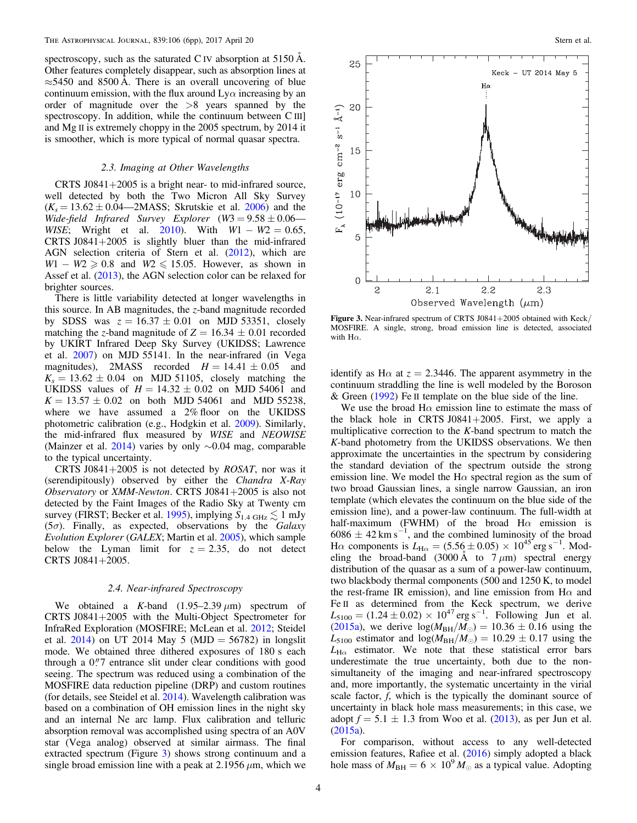<span id="page-3-0"></span>spectroscopy, such as the saturated C IV absorption at 5150 Å. Other features completely disappear, such as absorption lines at  $\approx$ 5450 and 8500 Å. There is an overall uncovering of blue continuum emission, with the flux around  $Ly\alpha$  increasing by an order of magnitude over the >8 years spanned by the spectroscopy. In addition, while the continuum between C III] and Mg II is extremely choppy in the 2005 spectrum, by 2014 it is smoother, which is more typical of normal quasar spectra.

## 2.3. Imaging at Other Wavelengths

CRTS  $J0841+2005$  is a bright near- to mid-infrared source, well detected by both the Two Micron All Sky Survey  $(K_s = 13.62 \pm 0.04 - 2MASS)$ ; Skrutskie et al. [2006](#page-5-0)) and the Wide-field Infrared Survey Explorer  $(W3 = 9.58 \pm 0.06$ — WISE; Wright et al. [2010](#page-5-0)). With  $W1 - W2 = 0.65$ , CRTS  $J0841+2005$  is slightly bluer than the mid-infrared AGN selection criteria of Stern et al. ([2012](#page-5-0)), which are  $W1 - W2 \geqslant 0.8$  and  $W2 \leqslant 15.05$ . However, as shown in Assef et al. ([2013](#page-5-0)), the AGN selection color can be relaxed for brighter sources.

There is little variability detected at longer wavelengths in this source. In AB magnitudes, the z-band magnitude recorded by SDSS was  $z = 16.37 \pm 0.01$  on MJD 53351, closely matching the z-band magnitude of  $Z = 16.34 \pm 0.01$  recorded by UKIRT Infrared Deep Sky Survey (UKIDSS; Lawrence et al. [2007](#page-5-0)) on MJD 55141. In the near-infrared (in Vega magnitudes), 2MASS recorded  $H = 14.41 \pm 0.05$  and  $K_s = 13.62 \pm 0.04$  on MJD 51105, closely matching the UKIDSS values of  $H = 14.32 \pm 0.02$  on MJD 54061 and  $K = 13.57 \pm 0.02$  on both MJD 54061 and MJD 55238, where we have assumed a 2% floor on the UKIDSS photometric calibration (e.g., Hodgkin et al. [2009](#page-5-0)). Similarly, the mid-infrared flux measured by WISE and NEOWISE (Mainzer et al. [2014](#page-5-0)) varies by only ∼0.04 mag, comparable to the typical uncertainty.

CRTS J0841+2005 is not detected by  $ROSAT$ , nor was it (serendipitously) observed by either the Chandra X-Ray Observatory or XMM-Newton. CRTS J0841+2005 is also not detected by the Faint Images of the Radio Sky at Twenty cm survey (FIRST; Becker et al. [1995](#page-5-0)), implying  $S_{1.4 \text{ GHz}} \lesssim 1 \text{ mJy}$ ( $5\sigma$ ). Finally, as expected, observations by the Galaxy Evolution Explorer (GALEX; Martin et al. [2005](#page-5-0)), which sample below the Lyman limit for  $z = 2.35$ , do not detect CRTS J0841+2005.

#### 2.4. Near-infrared Spectroscopy

We obtained a K-band  $(1.95-2.39 \,\mu\text{m})$  spectrum of CRTS J0841+2005 with the Multi-Object Spectrometer for InfraRed Exploration (MOSFIRE; McLean et al. [2012;](#page-5-0) Steidel et al.  $2014$ ) on UT 2014 May 5 (MJD = 56782) in longslit mode. We obtained three dithered exposures of 180 s each through a  $0\rlap.{''}7$  entrance slit under clear conditions with good seeing. The spectrum was reduced using a combination of the MOSFIRE data reduction pipeline (DRP) and custom routines (for details, see Steidel et al. [2014](#page-5-0)). Wavelength calibration was based on a combination of OH emission lines in the night sky and an internal Ne arc lamp. Flux calibration and telluric absorption removal was accomplished using spectra of an A0V star (Vega analog) observed at similar airmass. The final extracted spectrum (Figure 3) shows strong continuum and a single broad emission line with a peak at 2.1956  $\mu$ m, which we



Figure 3. Near-infrared spectrum of CRTS J0841+2005 obtained with Keck/ MOSFIRE. A single, strong, broad emission line is detected, associated with  $H\alpha$ .

identify as H $\alpha$  at  $z = 2.3446$ . The apparent asymmetry in the continuum straddling the line is well modeled by the Boroson & Green ([1992](#page-5-0)) Fe II template on the blue side of the line.

We use the broad H $\alpha$  emission line to estimate the mass of the black hole in CRTS  $J0841+2005$ . First, we apply a multiplicative correction to the K-band spectrum to match the K-band photometry from the UKIDSS observations. We then approximate the uncertainties in the spectrum by considering the standard deviation of the spectrum outside the strong emission line. We model the H $\alpha$  spectral region as the sum of two broad Gaussian lines, a single narrow Gaussian, an iron template (which elevates the continuum on the blue side of the emission line), and a power-law continuum. The full-width at half-maximum (FWHM) of the broad H $\alpha$  emission is  $6086 \pm 42$  km s<sup>-1</sup>, and the combined luminosity of the broad H $\alpha$  components is  $L_{\text{H}\alpha} = (5.56 \pm 0.05) \times 10^{45} \text{ erg s}^{-1}$ . Modeling the broad-band (3000 Å to  $7 \mu m$ ) spectral energy distribution of the quasar as a sum of a power-law continuum, two blackbody thermal components (500 and 1250 K, to model the rest-frame IR emission), and line emission from  $H\alpha$  and Fe II as determined from the Keck spectrum, we derive  $L_{5100} = (1.24 \pm 0.02) \times 10^{47} \text{ erg s}^{-1}$ . Following Jun et al. ([2015a](#page-5-0)), we derive  $log(M_{BH}/M_{\odot}) = 10.36 \pm 0.16$  using the  $L_{5100}$  estimator and  $\log(M_{\text{BH}}/M_{\odot}) = 10.29 \pm 0.17$  using the  $L_{\text{H}\alpha}$  estimator. We note that these statistical error bars underestimate the true uncertainty, both due to the nonsimultaneity of the imaging and near-infrared spectroscopy and, more importantly, the systematic uncertainty in the virial scale factor,  $f$ , which is the typically the dominant source of uncertainty in black hole mass measurements; in this case, we adopt  $f = 5.1 \pm 1.3$  from Woo et al. ([2013](#page-5-0)), as per Jun et al. ([2015a](#page-5-0)).

For comparison, without access to any well-detected emission features, Rafiee et al. ([2016](#page-5-0)) simply adopted a black hole mass of  $M_{\text{BH}} = 6 \times 10^9 M_{\odot}$  as a typical value. Adopting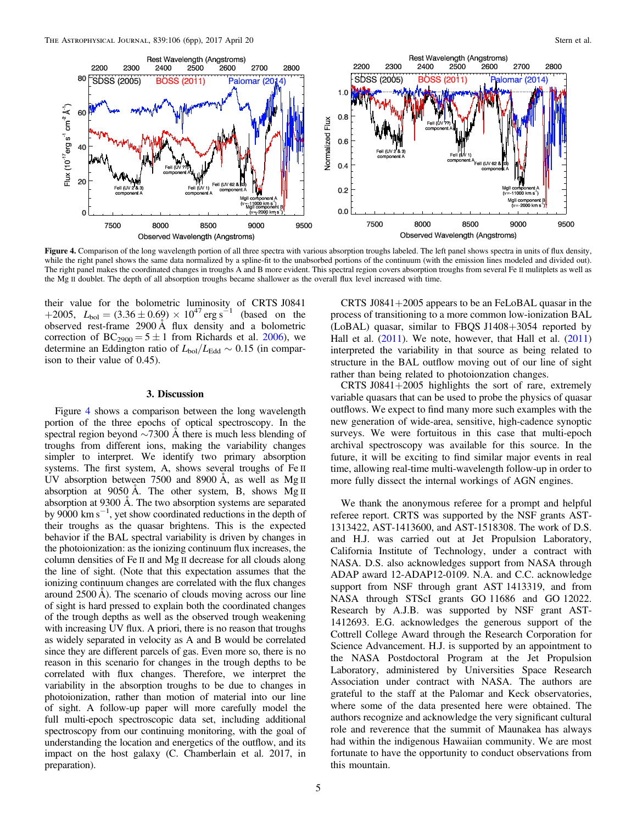

Figure 4. Comparison of the long wavelength portion of all three spectra with various absorption troughs labeled. The left panel shows spectra in units of flux density, while the right panel shows the same data normalized by a spline-fit to the unabsorbed portions of the continuum (with the emission lines modeled and divided out). The right panel makes the coordinated changes in troughs A and B more evident. This spectral region covers absorption troughs from several Fe II mulitplets as well as the Mg II doublet. The depth of all absorption troughs became shallower as the overall flux level increased with time.

their value for the bolometric luminosity of CRTS J0841 +2005,  $L_{bol} = (3.36 \pm 0.69) \times 10^{47} \text{ erg s}^{-1}$  (based on the observed rest-frame 2900 Å flux density and a bolometric correction of  $BC_{2900} = 5 \pm 1$  from Richards et al. [2006](#page-5-0)), we determine an Eddington ratio of  $L_{bol}/L_{Edd} \sim 0.15$  (in comparison to their value of 0.45).

## 3. Discussion

Figure 4 shows a comparison between the long wavelength portion of the three epochs of optical spectroscopy. In the spectral region beyond ∼7300 Å there is much less blending of troughs from different ions, making the variability changes simpler to interpret. We identify two primary absorption systems. The first system, A, shows several troughs of Fe II UV absorption between 7500 and 8900 Å, as well as Mg II absorption at 9050 Å. The other system, B, shows Mg II absorption at 9300 Å. The two absorption systems are separated by 9000 km s−<sup>1</sup> , yet show coordinated reductions in the depth of their troughs as the quasar brightens. This is the expected behavior if the BAL spectral variability is driven by changes in the photoionization: as the ionizing continuum flux increases, the column densities of Fe II and Mg II decrease for all clouds along the line of sight. (Note that this expectation assumes that the ionizing continuum changes are correlated with the flux changes around 2500 Å). The scenario of clouds moving across our line of sight is hard pressed to explain both the coordinated changes of the trough depths as well as the observed trough weakening with increasing UV flux. A priori, there is no reason that troughs as widely separated in velocity as A and B would be correlated since they are different parcels of gas. Even more so, there is no reason in this scenario for changes in the trough depths to be correlated with flux changes. Therefore, we interpret the variability in the absorption troughs to be due to changes in photoionization, rather than motion of material into our line of sight. A follow-up paper will more carefully model the full multi-epoch spectroscopic data set, including additional spectroscopy from our continuing monitoring, with the goal of understanding the location and energetics of the outflow, and its impact on the host galaxy (C. Chamberlain et al. 2017, in preparation).

CRTS J0841+2005 appears to be an FeLoBAL quasar in the process of transitioning to a more common low-ionization BAL (LoBAL) quasar, similar to FBQS J1408+3054 reported by Hall et al.  $(2011)$  $(2011)$  $(2011)$ . We note, however, that Hall et al.  $(2011)$ interpreted the variability in that source as being related to structure in the BAL outflow moving out of our line of sight rather than being related to photoionzation changes.

CRTS J0841+2005 highlights the sort of rare, extremely variable quasars that can be used to probe the physics of quasar outflows. We expect to find many more such examples with the new generation of wide-area, sensitive, high-cadence synoptic surveys. We were fortuitous in this case that multi-epoch archival spectroscopy was available for this source. In the future, it will be exciting to find similar major events in real time, allowing real-time multi-wavelength follow-up in order to more fully dissect the internal workings of AGN engines.

We thank the anonymous referee for a prompt and helpful referee report. CRTS was supported by the NSF grants AST-1313422, AST-1413600, and AST-1518308. The work of D.S. and H.J. was carried out at Jet Propulsion Laboratory, California Institute of Technology, under a contract with NASA. D.S. also acknowledges support from NASA through ADAP award 12-ADAP12-0109. N.A. and C.C. acknowledge support from NSF through grant AST 1413319, and from NASA through STScI grants GO 11686 and GO 12022. Research by A.J.B. was supported by NSF grant AST-1412693. E.G. acknowledges the generous support of the Cottrell College Award through the Research Corporation for Science Advancement. H.J. is supported by an appointment to the NASA Postdoctoral Program at the Jet Propulsion Laboratory, administered by Universities Space Research Association under contract with NASA. The authors are grateful to the staff at the Palomar and Keck observatories, where some of the data presented here were obtained. The authors recognize and acknowledge the very significant cultural role and reverence that the summit of Maunakea has always had within the indigenous Hawaiian community. We are most fortunate to have the opportunity to conduct observations from this mountain.